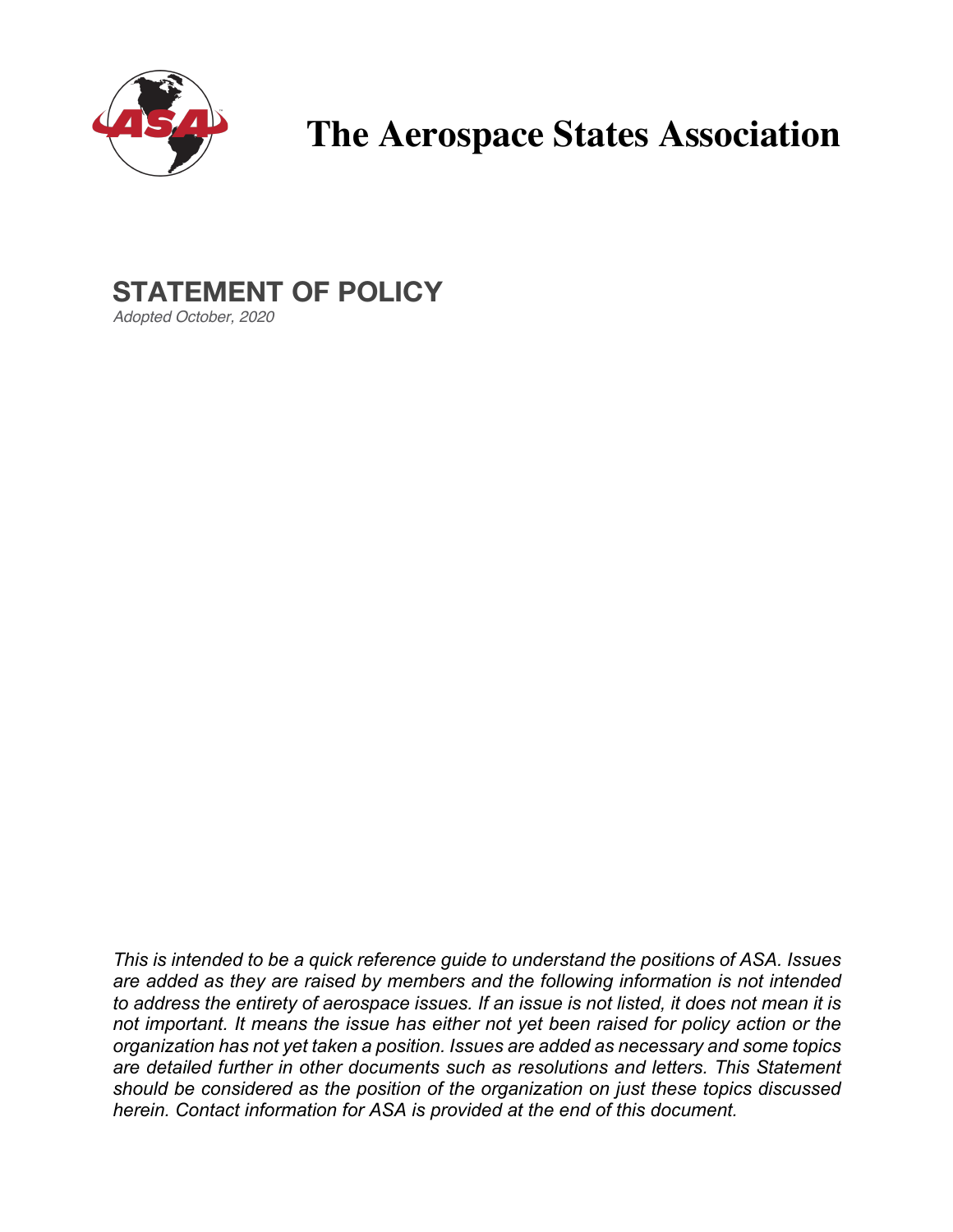

# **The Aerospace States Association**

## **STATEMENT OF POLICY**

*Adopted October, 2020*

*This is intended to be a quick reference guide to understand the positions of ASA. Issues are added as they are raised by members and the following information is not intended to address the entirety of aerospace issues. If an issue is not listed, it does not mean it is not important. It means the issue has either not yet been raised for policy action or the organization has not yet taken a position. Issues are added as necessary and some topics are detailed further in other documents such as resolutions and letters. This Statement should be considered as the position of the organization on just these topics discussed herein. Contact information for ASA is provided at the end of this document.*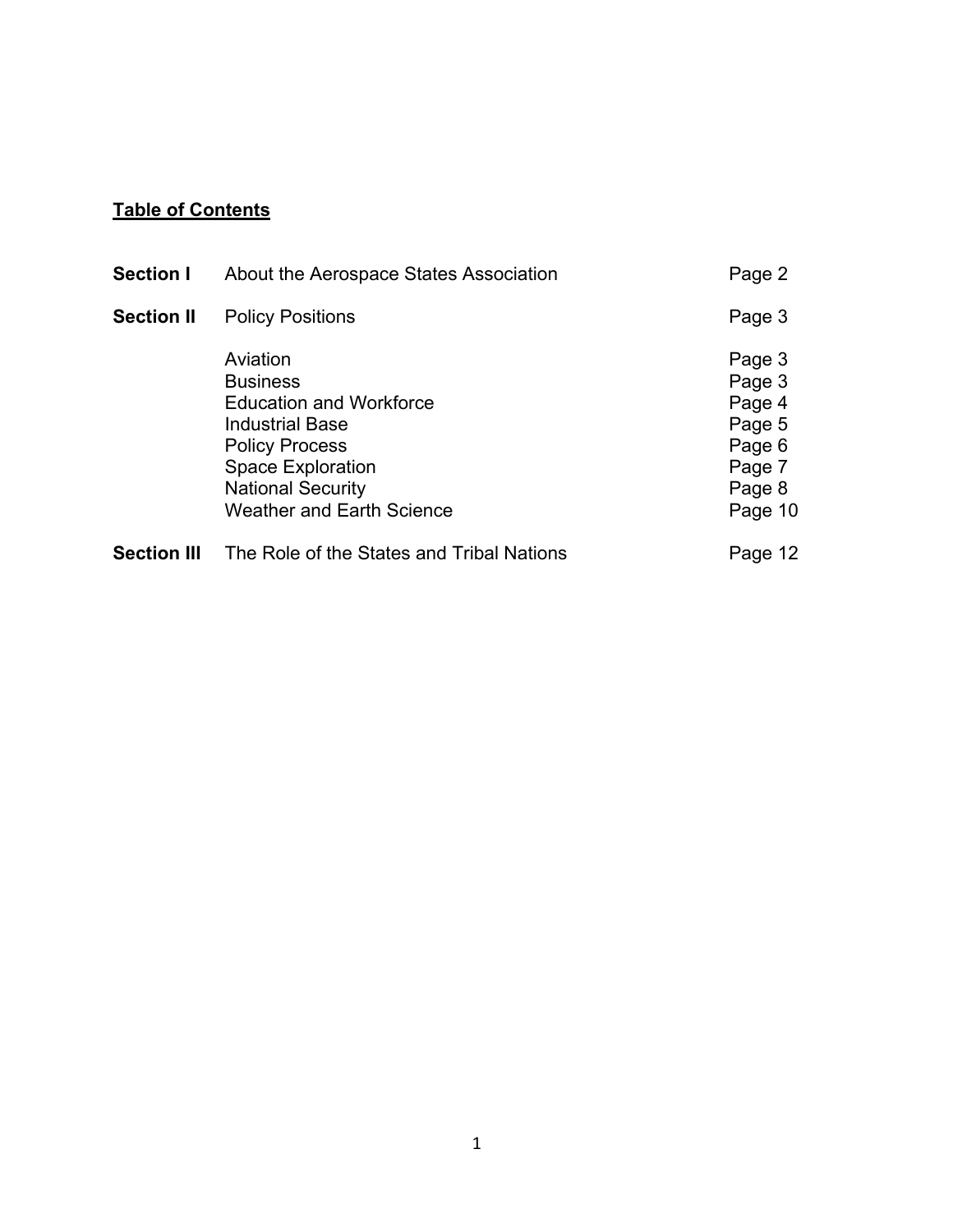### **Table of Contents**

| <b>Section I</b>   | About the Aerospace States Association                                                                                                                                                                       | Page 2                                                                        |
|--------------------|--------------------------------------------------------------------------------------------------------------------------------------------------------------------------------------------------------------|-------------------------------------------------------------------------------|
| <b>Section II</b>  | <b>Policy Positions</b>                                                                                                                                                                                      | Page 3                                                                        |
|                    | Aviation<br><b>Business</b><br><b>Education and Workforce</b><br><b>Industrial Base</b><br><b>Policy Process</b><br><b>Space Exploration</b><br><b>National Security</b><br><b>Weather and Earth Science</b> | Page 3<br>Page 3<br>Page 4<br>Page 5<br>Page 6<br>Page 7<br>Page 8<br>Page 10 |
| <b>Section III</b> | The Role of the States and Tribal Nations                                                                                                                                                                    | Page 12                                                                       |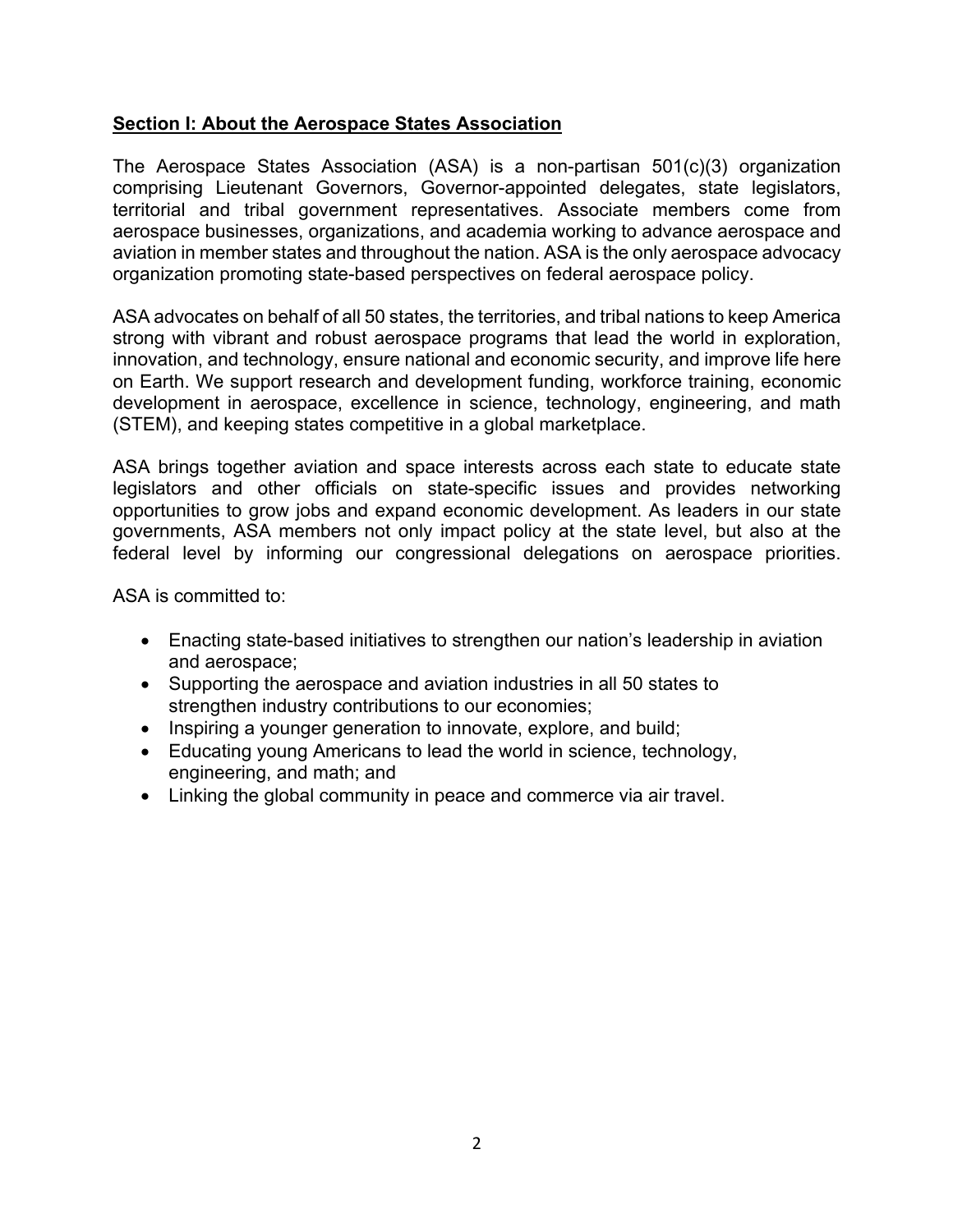#### **Section I: About the Aerospace States Association**

The Aerospace States Association (ASA) is a non-partisan 501(c)(3) organization comprising Lieutenant Governors, Governor-appointed delegates, state legislators, territorial and tribal government representatives. Associate members come from aerospace businesses, organizations, and academia working to advance aerospace and aviation in member states and throughout the nation. ASA is the only aerospace advocacy organization promoting state-based perspectives on federal aerospace policy.

ASA advocates on behalf of all 50 states, the territories, and tribal nations to keep America strong with vibrant and robust aerospace programs that lead the world in exploration, innovation, and technology, ensure national and economic security, and improve life here on Earth. We support research and development funding, workforce training, economic development in aerospace, excellence in science, technology, engineering, and math (STEM), and keeping states competitive in a global marketplace.

ASA brings together aviation and space interests across each state to educate state legislators and other officials on state-specific issues and provides networking opportunities to grow jobs and expand economic development. As leaders in our state governments, ASA members not only impact policy at the state level, but also at the federal level by informing our congressional delegations on aerospace priorities.

ASA is committed to:

- Enacting state-based initiatives to strengthen our nation's leadership in aviation and aerospace;
- Supporting the aerospace and aviation industries in all 50 states to strengthen industry contributions to our economies;
- Inspiring a younger generation to innovate, explore, and build;
- Educating young Americans to lead the world in science, technology, engineering, and math; and
- Linking the global community in peace and commerce via air travel.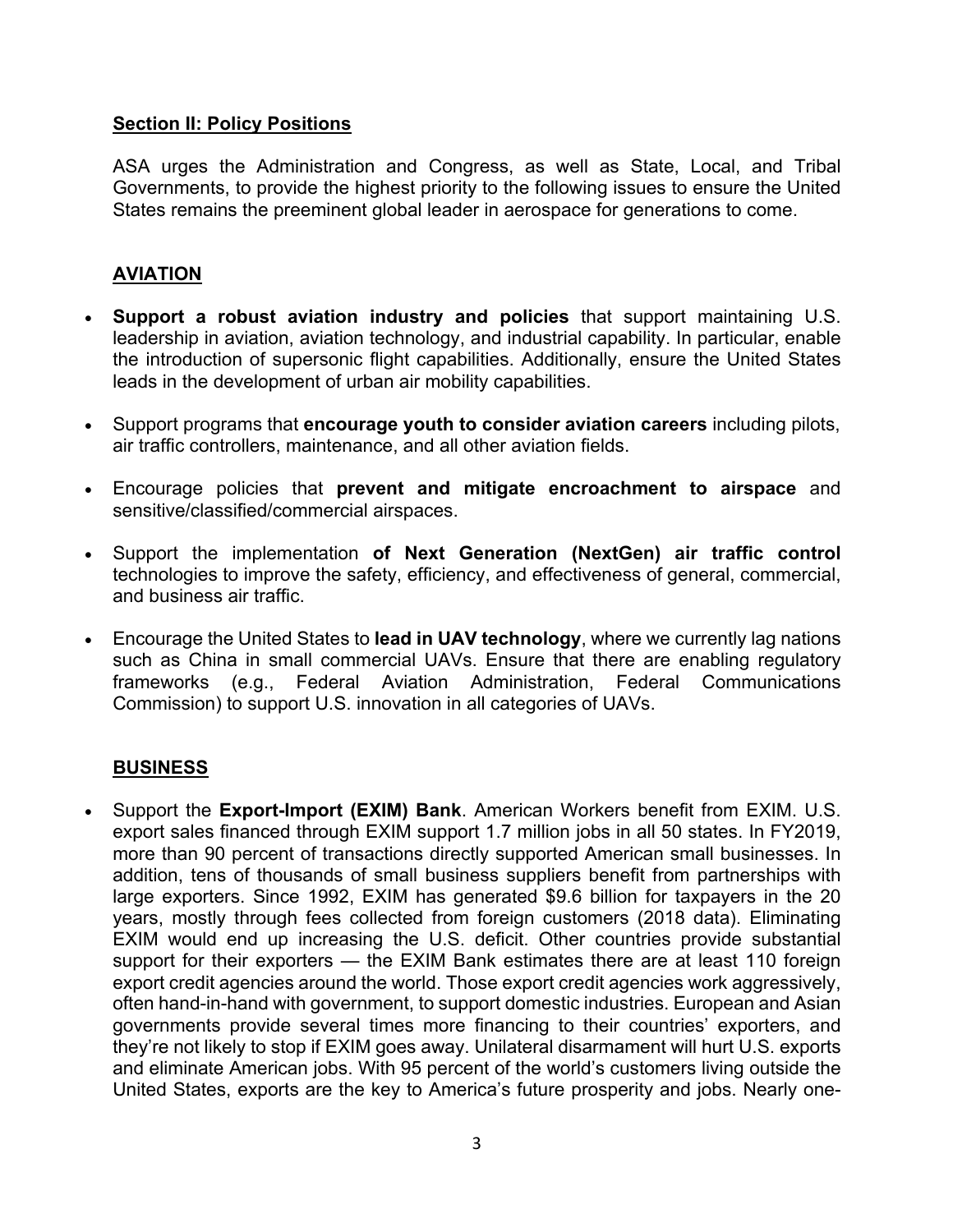#### **Section II: Policy Positions**

ASA urges the Administration and Congress, as well as State, Local, and Tribal Governments, to provide the highest priority to the following issues to ensure the United States remains the preeminent global leader in aerospace for generations to come.

#### **AVIATION**

- **Support a robust aviation industry and policies** that support maintaining U.S. leadership in aviation, aviation technology, and industrial capability. In particular, enable the introduction of supersonic flight capabilities. Additionally, ensure the United States leads in the development of urban air mobility capabilities.
- Support programs that **encourage youth to consider aviation careers** including pilots, air traffic controllers, maintenance, and all other aviation fields.
- Encourage policies that **prevent and mitigate encroachment to airspace** and sensitive/classified/commercial airspaces.
- Support the implementation **of Next Generation (NextGen) air traffic control** technologies to improve the safety, efficiency, and effectiveness of general, commercial, and business air traffic.
- Encourage the United States to **lead in UAV technology**, where we currently lag nations such as China in small commercial UAVs. Ensure that there are enabling regulatory frameworks (e.g., Federal Aviation Administration, Federal Communications Commission) to support U.S. innovation in all categories of UAVs.

#### **BUSINESS**

• Support the **Export-Import (EXIM) Bank**. American Workers benefit from EXIM. U.S. export sales financed through EXIM support 1.7 million jobs in all 50 states. In FY2019, more than 90 percent of transactions directly supported American small businesses. In addition, tens of thousands of small business suppliers benefit from partnerships with large exporters. Since 1992, EXIM has generated \$9.6 billion for taxpayers in the 20 years, mostly through fees collected from foreign customers (2018 data). Eliminating EXIM would end up increasing the U.S. deficit. Other countries provide substantial support for their exporters — the EXIM Bank estimates there are at least 110 foreign export credit agencies around the world. Those export credit agencies work aggressively, often hand-in-hand with government, to support domestic industries. European and Asian governments provide several times more financing to their countries' exporters, and they're not likely to stop if EXIM goes away. Unilateral disarmament will hurt U.S. exports and eliminate American jobs. With 95 percent of the world's customers living outside the United States, exports are the key to America's future prosperity and jobs. Nearly one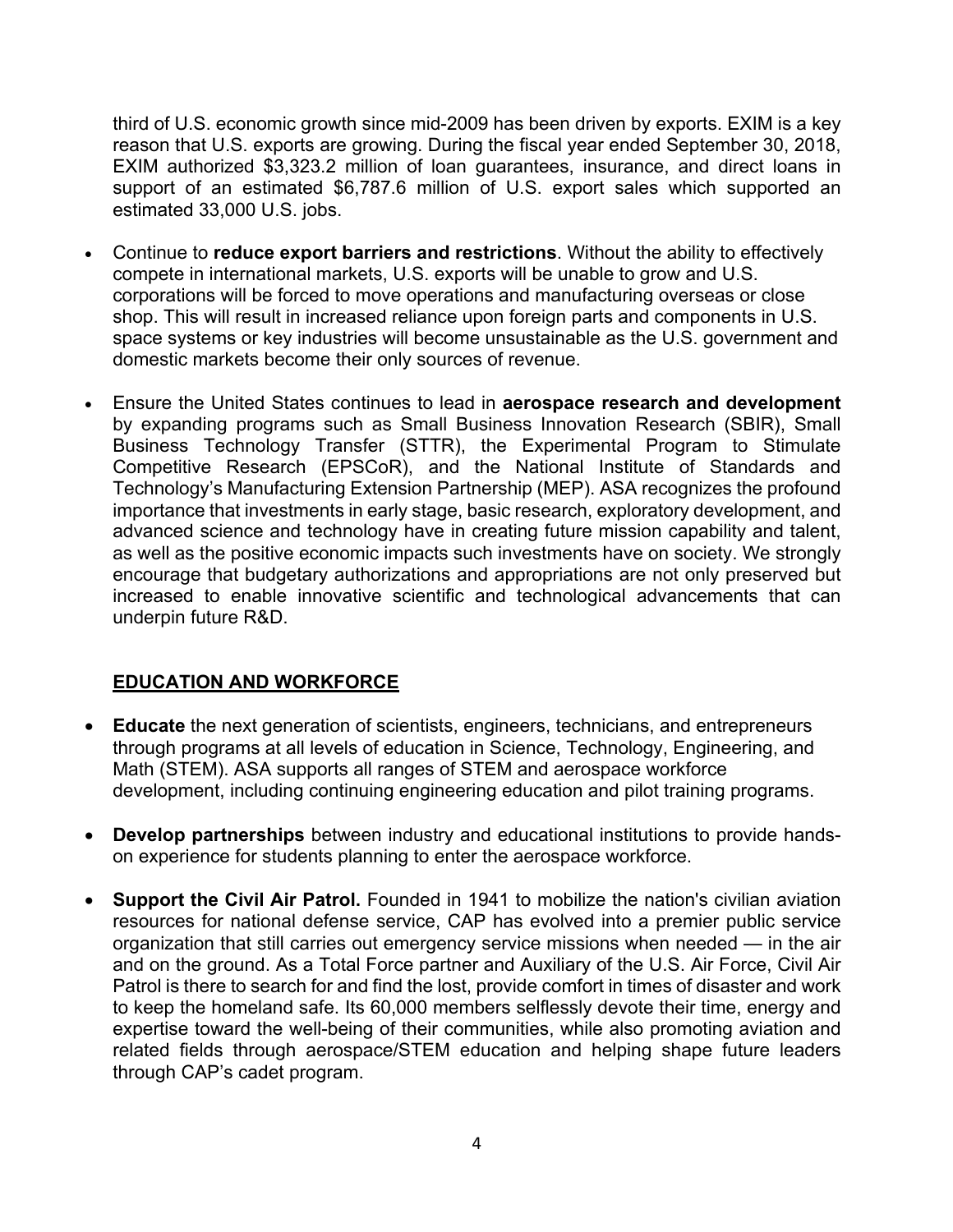third of U.S. economic growth since mid-2009 has been driven by exports. EXIM is a key reason that U.S. exports are growing. During the fiscal year ended September 30, 2018, EXIM authorized \$3,323.2 million of loan guarantees, insurance, and direct loans in support of an estimated \$6,787.6 million of U.S. export sales which supported an estimated 33,000 U.S. jobs.

- Continue to **reduce export barriers and restrictions**. Without the ability to effectively compete in international markets, U.S. exports will be unable to grow and U.S. corporations will be forced to move operations and manufacturing overseas or close shop. This will result in increased reliance upon foreign parts and components in U.S. space systems or key industries will become unsustainable as the U.S. government and domestic markets become their only sources of revenue.
- Ensure the United States continues to lead in **aerospace research and development** by expanding programs such as Small Business Innovation Research (SBIR), Small Business Technology Transfer (STTR), the Experimental Program to Stimulate Competitive Research (EPSCoR), and the National Institute of Standards and Technology's Manufacturing Extension Partnership (MEP). ASA recognizes the profound importance that investments in early stage, basic research, exploratory development, and advanced science and technology have in creating future mission capability and talent, as well as the positive economic impacts such investments have on society. We strongly encourage that budgetary authorizations and appropriations are not only preserved but increased to enable innovative scientific and technological advancements that can underpin future R&D.

#### **EDUCATION AND WORKFORCE**

- **Educate** the next generation of scientists, engineers, technicians, and entrepreneurs through programs at all levels of education in Science, Technology, Engineering, and Math (STEM). ASA supports all ranges of STEM and aerospace workforce development, including continuing engineering education and pilot training programs.
- **Develop partnerships** between industry and educational institutions to provide handson experience for students planning to enter the aerospace workforce.
- **Support the Civil Air Patrol.** Founded in 1941 to mobilize the nation's civilian aviation resources for national defense service, CAP has evolved into a premier public service organization that still carries out emergency service missions when needed — in the air and on the ground. As a Total Force partner and Auxiliary of the U.S. Air Force, Civil Air Patrol is there to search for and find the lost, provide comfort in times of disaster and work to keep the homeland safe. Its 60,000 members selflessly devote their time, energy and expertise toward the well-being of their communities, while also promoting aviation and related fields through aerospace/STEM education and helping shape future leaders through CAP's cadet program.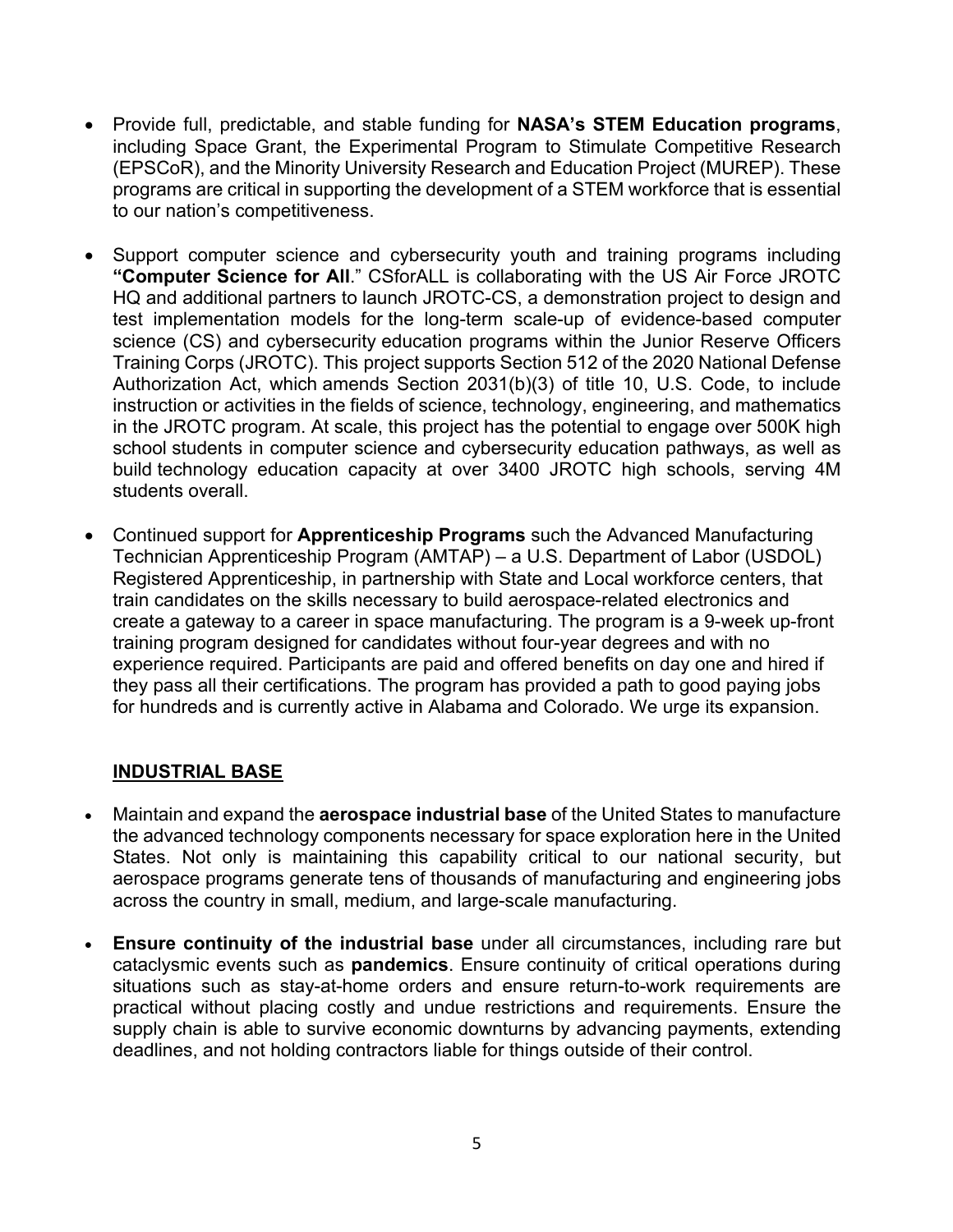- Provide full, predictable, and stable funding for **NASA's STEM Education programs**, including Space Grant, the Experimental Program to Stimulate Competitive Research (EPSCoR), and the Minority University Research and Education Project (MUREP). These programs are critical in supporting the development of a STEM workforce that is essential to our nation's competitiveness.
- Support computer science and cybersecurity youth and training programs including **"Computer Science for All**." CSforALL is collaborating with the US Air Force JROTC HQ and additional partners to launch JROTC-CS, a demonstration project to design and test implementation models for the long-term scale-up of evidence-based computer science (CS) and cybersecurity education programs within the Junior Reserve Officers Training Corps (JROTC). This project supports Section 512 of the 2020 National Defense Authorization Act, which amends Section 2031(b)(3) of title 10, U.S. Code, to include instruction or activities in the fields of science, technology, engineering, and mathematics in the JROTC program. At scale, this project has the potential to engage over 500K high school students in computer science and cybersecurity education pathways, as well as build technology education capacity at over 3400 JROTC high schools, serving 4M students overall.
- Continued support for **Apprenticeship Programs** such the Advanced Manufacturing Technician Apprenticeship Program (AMTAP) – a U.S. Department of Labor (USDOL) Registered Apprenticeship, in partnership with State and Local workforce centers, that train candidates on the skills necessary to build aerospace-related electronics and create a gateway to a career in space manufacturing. The program is a 9-week up-front training program designed for candidates without four-year degrees and with no experience required. Participants are paid and offered benefits on day one and hired if they pass all their certifications. The program has provided a path to good paying jobs for hundreds and is currently active in Alabama and Colorado. We urge its expansion.

#### **INDUSTRIAL BASE**

- Maintain and expand the **aerospace industrial base** of the United States to manufacture the advanced technology components necessary for space exploration here in the United States. Not only is maintaining this capability critical to our national security, but aerospace programs generate tens of thousands of manufacturing and engineering jobs across the country in small, medium, and large-scale manufacturing.
- **Ensure continuity of the industrial base** under all circumstances, including rare but cataclysmic events such as **pandemics**. Ensure continuity of critical operations during situations such as stay-at-home orders and ensure return-to-work requirements are practical without placing costly and undue restrictions and requirements. Ensure the supply chain is able to survive economic downturns by advancing payments, extending deadlines, and not holding contractors liable for things outside of their control.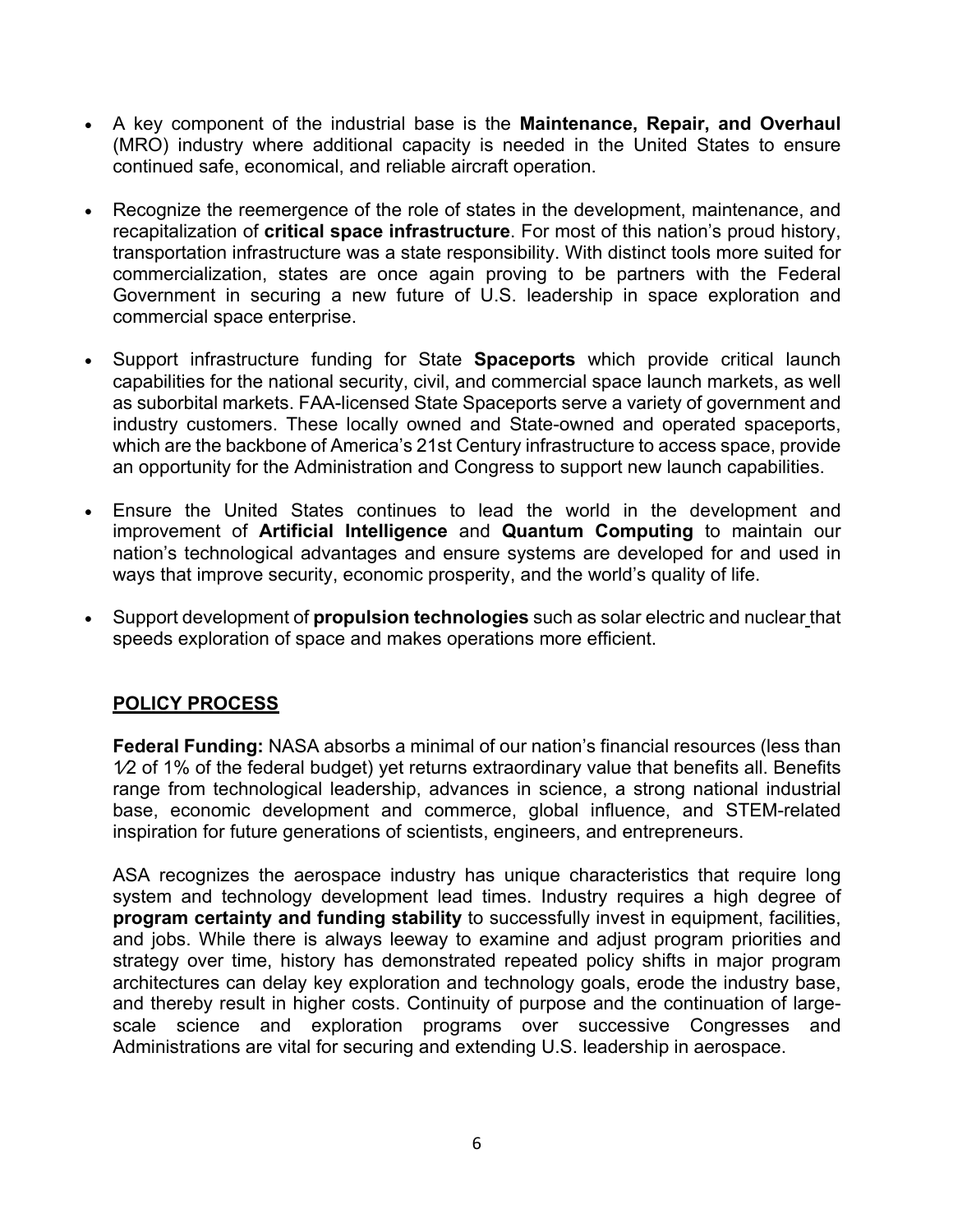- A key component of the industrial base is the **Maintenance, Repair, and Overhaul** (MRO) industry where additional capacity is needed in the United States to ensure continued safe, economical, and reliable aircraft operation.
- Recognize the reemergence of the role of states in the development, maintenance, and recapitalization of **critical space infrastructure**. For most of this nation's proud history, transportation infrastructure was a state responsibility. With distinct tools more suited for commercialization, states are once again proving to be partners with the Federal Government in securing a new future of U.S. leadership in space exploration and commercial space enterprise.
- Support infrastructure funding for State **Spaceports** which provide critical launch capabilities for the national security, civil, and commercial space launch markets, as well as suborbital markets. FAA-licensed State Spaceports serve a variety of government and industry customers. These locally owned and State-owned and operated spaceports, which are the backbone of America's 21st Century infrastructure to access space, provide an opportunity for the Administration and Congress to support new launch capabilities.
- Ensure the United States continues to lead the world in the development and improvement of **Artificial Intelligence** and **Quantum Computing** to maintain our nation's technological advantages and ensure systems are developed for and used in ways that improve security, economic prosperity, and the world's quality of life.
- Support development of **propulsion technologies** such as solar electric and nuclear that speeds exploration of space and makes operations more efficient.

#### **POLICY PROCESS**

**Federal Funding:** NASA absorbs a minimal of our nation's financial resources (less than 1⁄2 of 1% of the federal budget) yet returns extraordinary value that benefits all. Benefits range from technological leadership, advances in science, a strong national industrial base, economic development and commerce, global influence, and STEM-related inspiration for future generations of scientists, engineers, and entrepreneurs.

ASA recognizes the aerospace industry has unique characteristics that require long system and technology development lead times. Industry requires a high degree of **program certainty and funding stability** to successfully invest in equipment, facilities, and jobs. While there is always leeway to examine and adjust program priorities and strategy over time, history has demonstrated repeated policy shifts in major program architectures can delay key exploration and technology goals, erode the industry base, and thereby result in higher costs. Continuity of purpose and the continuation of largescale science and exploration programs over successive Congresses and Administrations are vital for securing and extending U.S. leadership in aerospace.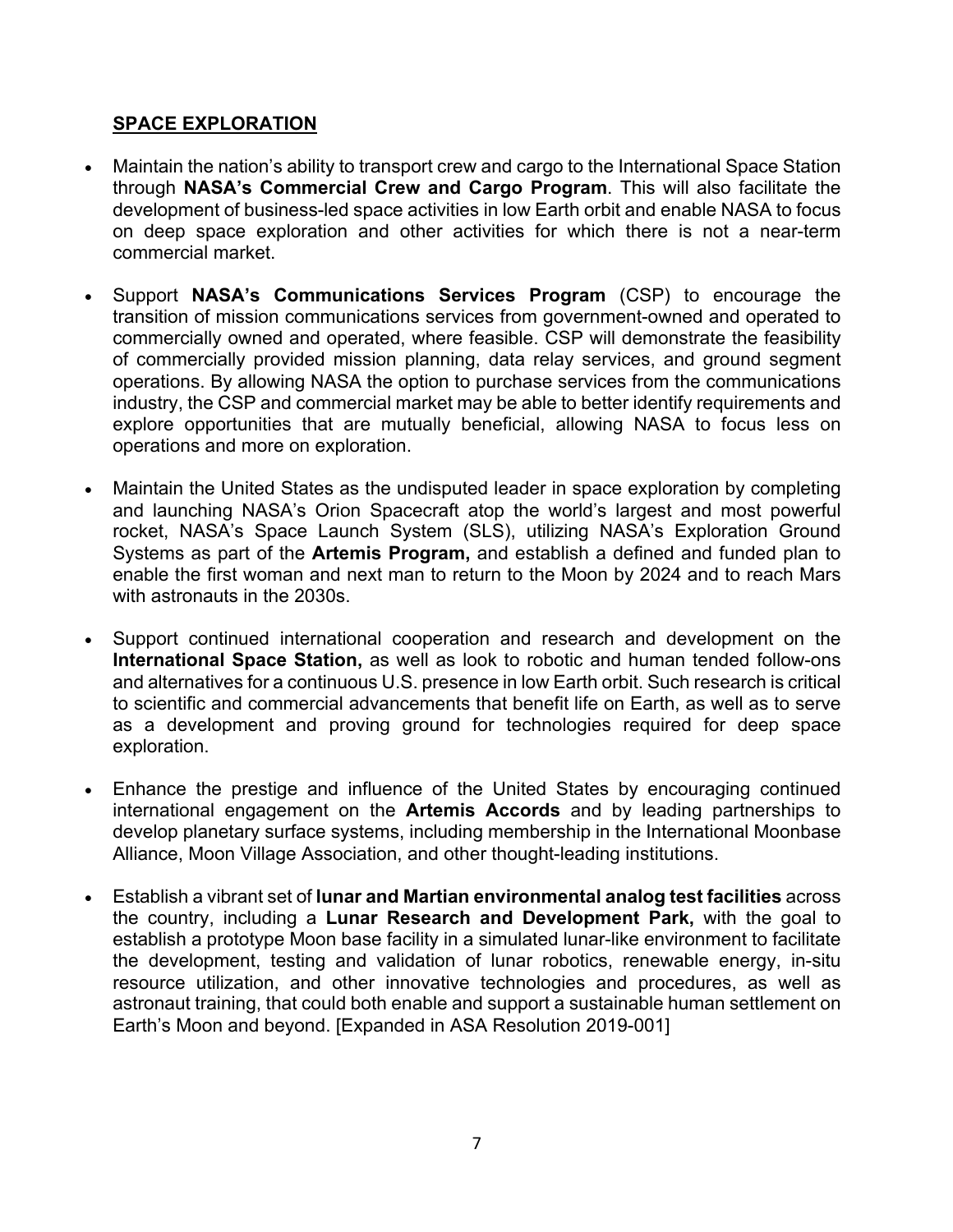#### **SPACE EXPLORATION**

- Maintain the nation's ability to transport crew and cargo to the International Space Station through **NASA's Commercial Crew and Cargo Program**. This will also facilitate the development of business-led space activities in low Earth orbit and enable NASA to focus on deep space exploration and other activities for which there is not a near-term commercial market.
- Support **NASA's Communications Services Program** (CSP) to encourage the transition of mission communications services from government-owned and operated to commercially owned and operated, where feasible. CSP will demonstrate the feasibility of commercially provided mission planning, data relay services, and ground segment operations. By allowing NASA the option to purchase services from the communications industry, the CSP and commercial market may be able to better identify requirements and explore opportunities that are mutually beneficial, allowing NASA to focus less on operations and more on exploration.
- Maintain the United States as the undisputed leader in space exploration by completing and launching NASA's Orion Spacecraft atop the world's largest and most powerful rocket, NASA's Space Launch System (SLS), utilizing NASA's Exploration Ground Systems as part of the **Artemis Program,** and establish a defined and funded plan to enable the first woman and next man to return to the Moon by 2024 and to reach Mars with astronauts in the 2030s.
- Support continued international cooperation and research and development on the **International Space Station,** as well as look to robotic and human tended follow-ons and alternatives for a continuous U.S. presence in low Earth orbit. Such research is critical to scientific and commercial advancements that benefit life on Earth, as well as to serve as a development and proving ground for technologies required for deep space exploration.
- Enhance the prestige and influence of the United States by encouraging continued international engagement on the **Artemis Accords** and by leading partnerships to develop planetary surface systems, including membership in the International Moonbase Alliance, Moon Village Association, and other thought-leading institutions.
- Establish a vibrant set of **lunar and Martian environmental analog test facilities** across the country, including a **Lunar Research and Development Park,** with the goal to establish a prototype Moon base facility in a simulated lunar-like environment to facilitate the development, testing and validation of lunar robotics, renewable energy, in-situ resource utilization, and other innovative technologies and procedures, as well as astronaut training, that could both enable and support a sustainable human settlement on Earth's Moon and beyond. [Expanded in ASA Resolution 2019-001]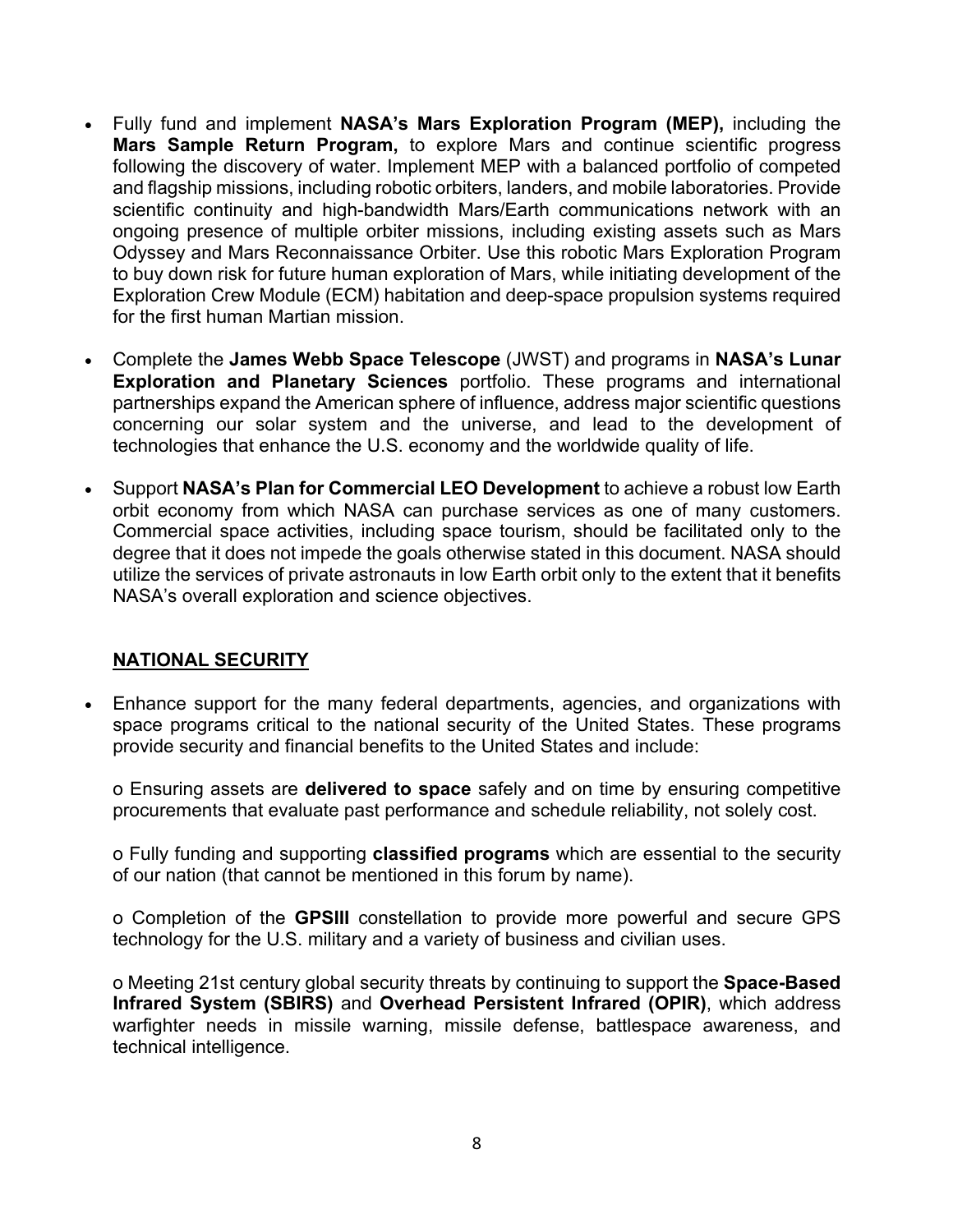- Fully fund and implement **NASA's Mars Exploration Program (MEP),** including the **Mars Sample Return Program,** to explore Mars and continue scientific progress following the discovery of water. Implement MEP with a balanced portfolio of competed and flagship missions, including robotic orbiters, landers, and mobile laboratories. Provide scientific continuity and high-bandwidth Mars/Earth communications network with an ongoing presence of multiple orbiter missions, including existing assets such as Mars Odyssey and Mars Reconnaissance Orbiter. Use this robotic Mars Exploration Program to buy down risk for future human exploration of Mars, while initiating development of the Exploration Crew Module (ECM) habitation and deep-space propulsion systems required for the first human Martian mission.
- Complete the **James Webb Space Telescope** (JWST) and programs in **NASA's Lunar Exploration and Planetary Sciences** portfolio. These programs and international partnerships expand the American sphere of influence, address major scientific questions concerning our solar system and the universe, and lead to the development of technologies that enhance the U.S. economy and the worldwide quality of life.
- Support **NASA's Plan for Commercial LEO Development** to achieve a robust low Earth orbit economy from which NASA can purchase services as one of many customers. Commercial space activities, including space tourism, should be facilitated only to the degree that it does not impede the goals otherwise stated in this document. NASA should utilize the services of private astronauts in low Earth orbit only to the extent that it benefits NASA's overall exploration and science objectives.

#### **NATIONAL SECURITY**

• Enhance support for the many federal departments, agencies, and organizations with space programs critical to the national security of the United States. These programs provide security and financial benefits to the United States and include:

o Ensuring assets are **delivered to space** safely and on time by ensuring competitive procurements that evaluate past performance and schedule reliability, not solely cost.

o Fully funding and supporting **classified programs** which are essential to the security of our nation (that cannot be mentioned in this forum by name).

o Completion of the **GPSIII** constellation to provide more powerful and secure GPS technology for the U.S. military and a variety of business and civilian uses.

o Meeting 21st century global security threats by continuing to support the **Space-Based Infrared System (SBIRS)** and **Overhead Persistent Infrared (OPIR)**, which address warfighter needs in missile warning, missile defense, battlespace awareness, and technical intelligence.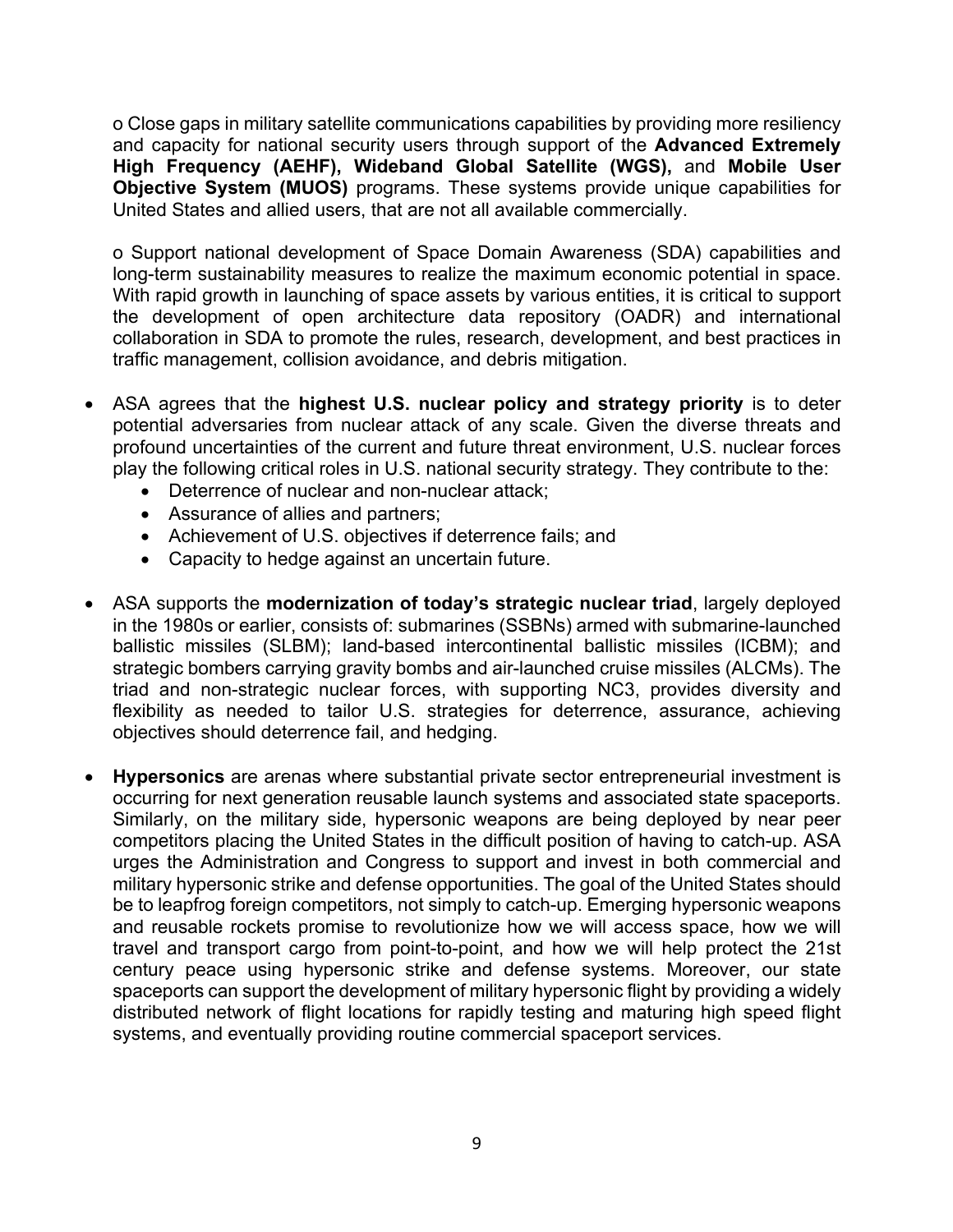o Close gaps in military satellite communications capabilities by providing more resiliency and capacity for national security users through support of the **Advanced Extremely High Frequency (AEHF), Wideband Global Satellite (WGS),** and **Mobile User Objective System (MUOS)** programs. These systems provide unique capabilities for United States and allied users, that are not all available commercially.

o Support national development of Space Domain Awareness (SDA) capabilities and long-term sustainability measures to realize the maximum economic potential in space. With rapid growth in launching of space assets by various entities, it is critical to support the development of open architecture data repository (OADR) and international collaboration in SDA to promote the rules, research, development, and best practices in traffic management, collision avoidance, and debris mitigation.

- ASA agrees that the **highest U.S. nuclear policy and strategy priority** is to deter potential adversaries from nuclear attack of any scale. Given the diverse threats and profound uncertainties of the current and future threat environment, U.S. nuclear forces play the following critical roles in U.S. national security strategy. They contribute to the:
	- Deterrence of nuclear and non-nuclear attack;
	- Assurance of allies and partners;
	- Achievement of U.S. objectives if deterrence fails; and
	- Capacity to hedge against an uncertain future.
- ASA supports the **modernization of today's strategic nuclear triad**, largely deployed in the 1980s or earlier, consists of: submarines (SSBNs) armed with submarine-launched ballistic missiles (SLBM); land-based intercontinental ballistic missiles (ICBM); and strategic bombers carrying gravity bombs and air-launched cruise missiles (ALCMs). The triad and non-strategic nuclear forces, with supporting NC3, provides diversity and flexibility as needed to tailor U.S. strategies for deterrence, assurance, achieving objectives should deterrence fail, and hedging.
- **Hypersonics** are arenas where substantial private sector entrepreneurial investment is occurring for next generation reusable launch systems and associated state spaceports. Similarly, on the military side, hypersonic weapons are being deployed by near peer competitors placing the United States in the difficult position of having to catch-up. ASA urges the Administration and Congress to support and invest in both commercial and military hypersonic strike and defense opportunities. The goal of the United States should be to leapfrog foreign competitors, not simply to catch-up. Emerging hypersonic weapons and reusable rockets promise to revolutionize how we will access space, how we will travel and transport cargo from point-to-point, and how we will help protect the 21st century peace using hypersonic strike and defense systems. Moreover, our state spaceports can support the development of military hypersonic flight by providing a widely distributed network of flight locations for rapidly testing and maturing high speed flight systems, and eventually providing routine commercial spaceport services.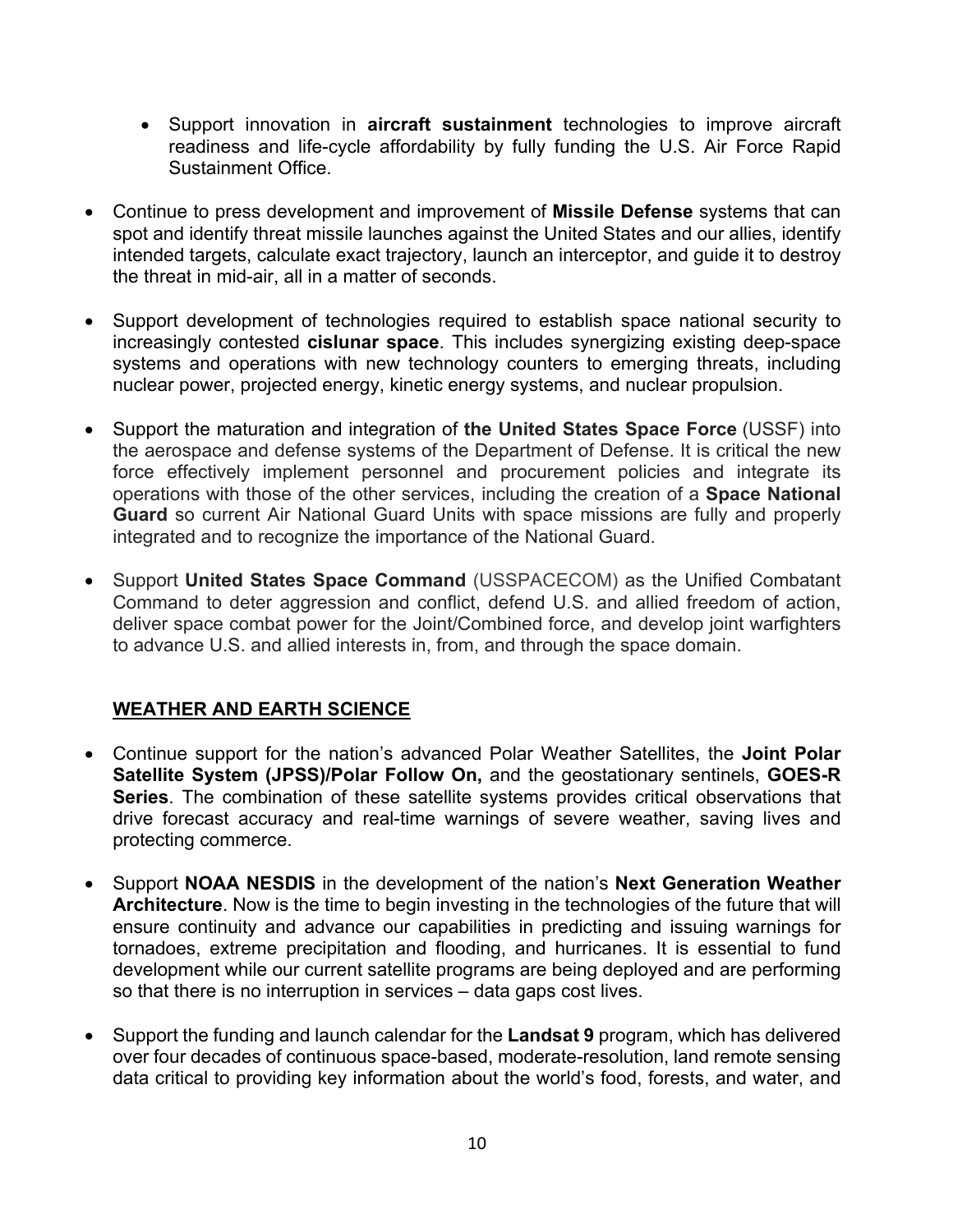- Support innovation in **aircraft sustainment** technologies to improve aircraft readiness and life-cycle affordability by fully funding the U.S. Air Force Rapid Sustainment Office.
- Continue to press development and improvement of **Missile Defense** systems that can spot and identify threat missile launches against the United States and our allies, identify intended targets, calculate exact trajectory, launch an interceptor, and guide it to destroy the threat in mid-air, all in a matter of seconds.
- Support development of technologies required to establish space national security to increasingly contested **cislunar space**. This includes synergizing existing deep-space systems and operations with new technology counters to emerging threats, including nuclear power, projected energy, kinetic energy systems, and nuclear propulsion.
- Support the maturation and integration of **the United States Space Force** (USSF) into the aerospace and defense systems of the Department of Defense. It is critical the new force effectively implement personnel and procurement policies and integrate its operations with those of the other services, including the creation of a **Space National Guard** so current Air National Guard Units with space missions are fully and properly integrated and to recognize the importance of the National Guard.
- Support **United States Space Command** (USSPACECOM) as the Unified Combatant Command to deter aggression and conflict, defend U.S. and allied freedom of action, deliver space combat power for the Joint/Combined force, and develop joint warfighters to advance U.S. and allied interests in, from, and through the space domain.

#### **WEATHER AND EARTH SCIENCE**

- Continue support for the nation's advanced Polar Weather Satellites, the **Joint Polar Satellite System (JPSS)/Polar Follow On,** and the geostationary sentinels, **GOES-R Series**. The combination of these satellite systems provides critical observations that drive forecast accuracy and real-time warnings of severe weather, saving lives and protecting commerce.
- Support **NOAA NESDIS** in the development of the nation's **Next Generation Weather Architecture**. Now is the time to begin investing in the technologies of the future that will ensure continuity and advance our capabilities in predicting and issuing warnings for tornadoes, extreme precipitation and flooding, and hurricanes. It is essential to fund development while our current satellite programs are being deployed and are performing so that there is no interruption in services – data gaps cost lives.
- Support the funding and launch calendar for the **Landsat 9** program, which has delivered over four decades of continuous space-based, moderate-resolution, land remote sensing data critical to providing key information about the world's food, forests, and water, and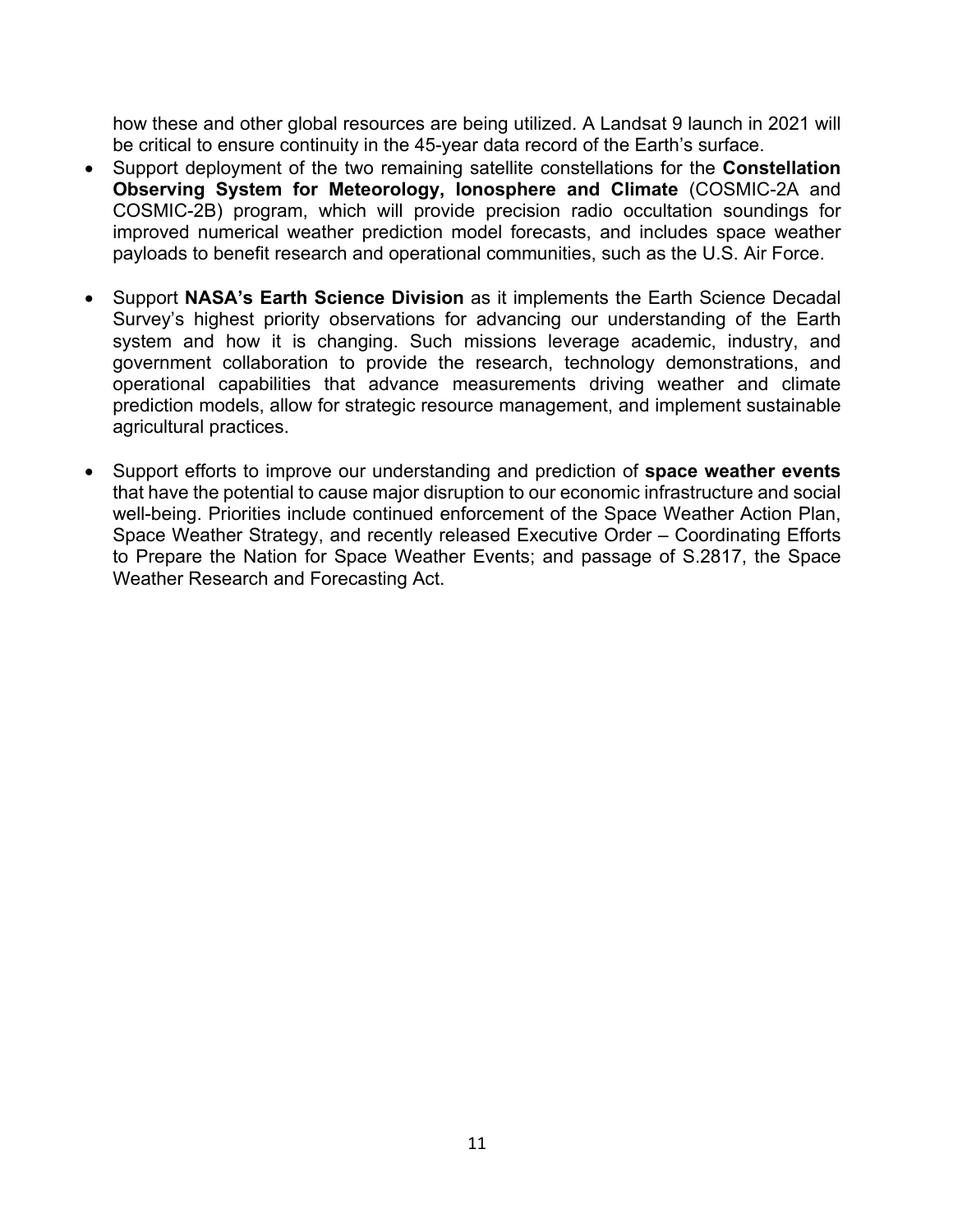how these and other global resources are being utilized. A Landsat 9 launch in 2021 will be critical to ensure continuity in the 45-year data record of the Earth's surface.

- Support deployment of the two remaining satellite constellations for the **Constellation Observing System for Meteorology, Ionosphere and Climate** (COSMIC-2A and COSMIC-2B) program, which will provide precision radio occultation soundings for improved numerical weather prediction model forecasts, and includes space weather payloads to benefit research and operational communities, such as the U.S. Air Force.
- Support **NASA's Earth Science Division** as it implements the Earth Science Decadal Survey's highest priority observations for advancing our understanding of the Earth system and how it is changing. Such missions leverage academic, industry, and government collaboration to provide the research, technology demonstrations, and operational capabilities that advance measurements driving weather and climate prediction models, allow for strategic resource management, and implement sustainable agricultural practices.
- Support efforts to improve our understanding and prediction of **space weather events** that have the potential to cause major disruption to our economic infrastructure and social well-being. Priorities include continued enforcement of the Space Weather Action Plan, Space Weather Strategy, and recently released Executive Order – Coordinating Efforts to Prepare the Nation for Space Weather Events; and passage of S.2817, the Space Weather Research and Forecasting Act.